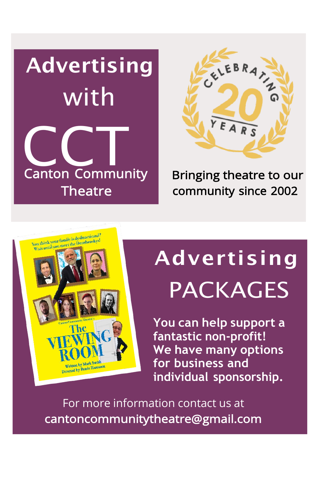



Bringing theatre to our community since 2002

# You think your family is dysfunctional ou think your family is dysfunctionally Written by Mark Smith ritten by Mark Smith

# **Advertising** PACKAGES

**You can help support a fantastic non-profit! We have many options for business and individual sponsorship.**

For more information contact us at [cantoncommunitytheatre@gmail.com](mailto:cantoncommunitytheatre@gmail.com)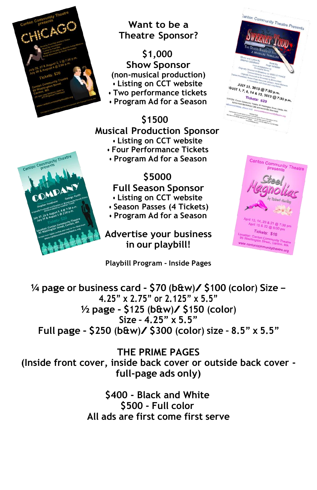

Canton Community Theatr

## **Want to be a Theatre Sponsor?**

**\$1,000 Show Sponsor (non-musical production) • Listing on CCT website • Two performance tickets**

- 
- **• Program Ad for a Season**

# **\$1500 Musical Production Sponsor • Listing on CCT website • Four Performance Tickets**

**• Program Ad for a Season**

# **\$5000**

**Full Season Sponsor**

- **• Listing on CCT website**
- **• Season Passes (4 Tickets)**
- **• Program Ad for a Season**

**Advertise your business in our playbill!**

#### **Playbill Program - Inside Pages**



**<sup>¼</sup> page or business card - \$70 (b&w)/ \$100 (color) Size – 4.25" x 2.75" or 2.125" x 5.5" <sup>½</sup> page - \$125 (b&w)/ \$150 (color) Size – 4.25" x 5.5" Full page - \$250 (b&w)/ \$300 (color) size – 8.5" <sup>x</sup> 5.5"**

**THE PRIME PAGES (Inside front cover, inside back cover or outside back cover full-page ads only)**

> **\$400 - Black and White \$500 - Full color All ads are first come first serve**